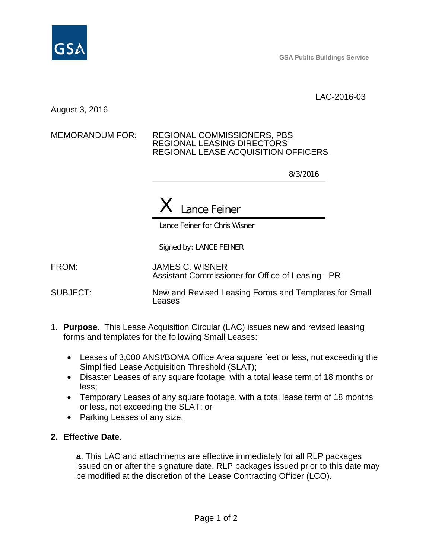

**GSA Public Buildings Service**

LAC-2016-03

August 3, 2016

### MEMORANDUM FOR: REGIONAL COMMISSIONERS, PBS REGIONAL LEASING DIRECTORS REGIONAL LEASE ACQUISITION OFFICERS

8/3/2016

# X Lance Feiner

Lance Feiner for Chris Wisner

Signed by: LANCE FEINER

FROM: JAMES C. WISNER Assistant Commissioner for Office of Leasing - PR

SUBJECT: New and Revised Leasing Forms and Templates for Small Leases

- 1. **Purpose**. This Lease Acquisition Circular (LAC) issues new and revised leasing forms and templates for the following Small Leases:
	- Leases of 3,000 ANSI/BOMA Office Area square feet or less, not exceeding the Simplified Lease Acquisition Threshold (SLAT);
	- Disaster Leases of any square footage, with a total lease term of 18 months or less;
	- Temporary Leases of any square footage, with a total lease term of 18 months or less, not exceeding the SLAT; or
	- Parking Leases of any size.

# **2. Effective Date**.

**a**. This LAC and attachments are effective immediately for all RLP packages issued on or after the signature date. RLP packages issued prior to this date may be modified at the discretion of the Lease Contracting Officer (LCO).